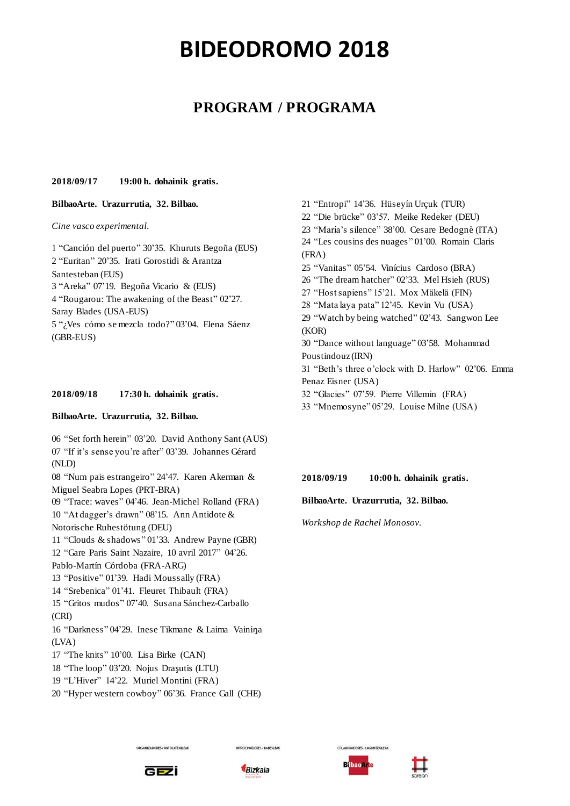# **PROGRAM / PROGRAMA**

### **2018/09/17 19:00 h. dohainik gratis.**

# **BilbaoArte. Urazurrutia, 32. Bilbao.**

*Cine vasco experimental.*

1 "Canción del puerto" 30'35. Khuruts Begoña (EUS) 2 "Euritan" 20'35. Irati Gorostidi & Arantza Santesteban (EUS) 3 "Areka" 07'19. Begoña Vicario & (EUS) 4 "Rougarou: The awakening of the Beast" 02'27. Saray Blades (USA-EUS) 5 "¿Ves cómo se mezcla todo?" 03'04. Elena Sáenz (GBR-EUS)

# **2018/09/18 17:30 h. dohainik gratis.**

### **BilbaoArte. Urazurrutia, 32. Bilbao.**

 "Set forth herein" 03'20. David Anthony Sant (AUS) "If it's sense you're after" 03'39. Johannes Gérard (NLD) "Num pais estrangeiro" 24'47. Karen Akerman & Miguel Seabra Lopes (PRT-BRA) "Trace: waves" 04'46. Jean-Michel Rolland (FRA) "At dagger's drawn" 08'15. Ann Antidote & Notorische Ruhestötung (DEU) "Clouds & shadows" 01'33. Andrew Payne (GBR) "Gare Paris Saint Nazaire, 10 avril 2017" 04'26. Pablo-Martín Córdoba (FRA-ARG) "Positive" 01'39. Hadi Moussally (FRA) "Srebenica" 01'41. Fleuret Thibault (FRA) "Gritos mudos" 07'40. Susana Sánchez-Carballo (CRI) "Darkness" 04'29. Inese Tikmane & Laima Vainiŋa (LVA) "The knits" 10'00. Lisa Birke (CAN) "The loop" 03'20. Nojus Draşutis (LTU) "L'Hiver" 14'22. Muriel Montini (FRA) "Hyper western cowboy" 06'36. France Gall (CHE)

21 "Entropi" 14'36. Hüseyín Urçuk (TUR) 22 "Die brücke" 03'57. Meike Redeker (DEU) 23 "Maria's silence" 38'00. Cesare Bedognè (ITA) 24 "Les cousins des nuages" 01'00. Romain Claris (FRA) 25 "Vanitas" 05'54. Vinícius Cardoso (BRA) 26 "The dream hatcher" 02'33. Mel Hsieh (RUS) 27 "Host sapiens" 15'21. Mox Mäkelä (FIN) 28 "Mata laya pata" 12'45. Kevin Vu (USA) 29 "Watch by being watched" 02'43. Sangwon Lee (KOR) 30 "Dance without language" 03'58. Mohammad Poustindouz (IRN) 31 "Beth's three o'clock with D. Harlow" 02'06. Emma Penaz Eisner (USA) 32 "Glacies" 07'59. Pierre Villemin (FRA)

33 "Mnemosyne" 05'29. Louise Milne (USA)

#### **2018/09/19 10:00 h. dohainik gratis.**

**BilbaoArte. Urazurrutia, 32. Bilbao.**

*Workshop de Rachel Monosov.*



ORGANIZADORES / ANTOLATZAILEA



**PATROCINADORES / BABESLEA** 



:<br>CLABORADORES / LAGUNTZAILEA

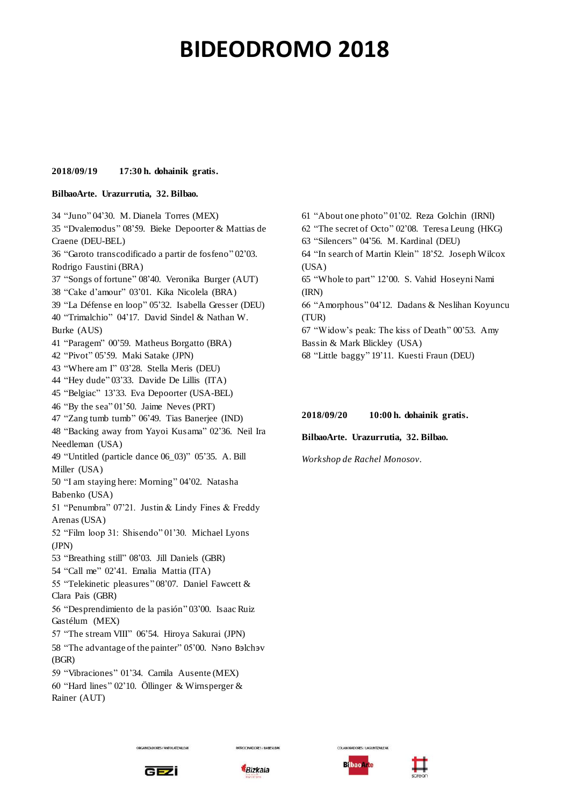#### **2018/09/19 17:30 h. dohainik gratis.**

#### **BilbaoArte. Urazurrutia, 32. Bilbao.**

34 "Juno" 04'30. M. Dianela Torres (MEX) 35 "Dvalemodus" 08'59. Bieke Depoorter & Mattias de Craene (DEU-BEL) 36 "Garoto transcodificado a partir de fosfeno" 02'03. Rodrigo Faustini (BRA) 37 "Songs of fortune" 08'40. Veronika Burger (AUT) 38 "Cake d'amour" 03'01. Kika Nicolela (BRA) 39 "La Défense en loop" 05'32. Isabella Gresser (DEU) 40 "Trimalchio" 04'17. David Sindel & Nathan W. Burke (AUS) 41 "Paragem" 00'59. Matheus Borgatto (BRA) 42 "Pivot" 05'59. Maki Satake (JPN) 43 "Where am I" 03'28. Stella Meris (DEU) 44 "Hey dude" 03'33. Davide De Lillis (ITA) 45 "Belgiac" 13'33. Eva Depoorter (USA-BEL) 46 "By the sea" 01'50. Jaime Neves (PRT) 47 "Zang tumb tumb" 06'49. Tias Banerjee (IND) 48 "Backing away from Yayoi Kusama" 02'36. Neil Ira Needleman (USA) 49 "Untitled (particle dance 06\_03)" 05'35. A. Bill Miller (USA) 50 "I am staying here: Morning" 04'02. Natasha Babenko (USA) 51 "Penumbra" 07'21. Justin & Lindy Fines & Freddy Arenas (USA) 52 "Film loop 31: Shisendo" 01'30. Michael Lyons (JPN) 53 "Breathing still" 08'03. Jill Daniels (GBR) 54 "Call me" 02'41. Emalia Mattia (ITA) 55 "Telekinetic pleasures" 08'07. Daniel Fawcett & Clara Pais (GBR) 56 "Desprendimiento de la pasión" 03'00. Isaac Ruiz Gastélum (MEX) 57 "The stream VIII" 06'54. Hiroya Sakurai (JPN) 58 "The advantage of the painter" 05'00. Nэпo Вэlchэv (BGR) 59 "Vibraciones" 01'34. Camila Ausente (MEX) 60 "Hard lines" 02'10. Öllinger & Wirnsperger & Rainer (AUT)

61 "About one photo" 01'02. Reza Golchin (IRNl) 62 "The secret of Octo" 02'08. Teresa Leung (HKG) 63 "Silencers" 04'56. M. Kardinal (DEU) 64 "In search of Martin Klein" 18'52. Joseph Wilcox (USA) 65 "Whole to part" 12'00. S. Vahid Hoseyni Nami (IRN) 66 "Amorphous" 04'12. Dadans & Neslihan Koyuncu (TUR) 67 "Widow's peak: The kiss of Death" 00'53. Amy Bassin & Mark Blickley (USA)

68 "Little baggy" 19'11. Kuesti Fraun (DEU)

#### **2018/09/20 10:00 h. dohainik gratis.**

#### **BilbaoArte. Urazurrutia, 32. Bilbao.**

*Workshop de Rachel Monosov.*



.<br>DRGANIZADORES / ANTOLATZAILEA



**PATROCINADORES / BABESLEA** 



**COLABORADORES / LAGUNTZAILEA** 

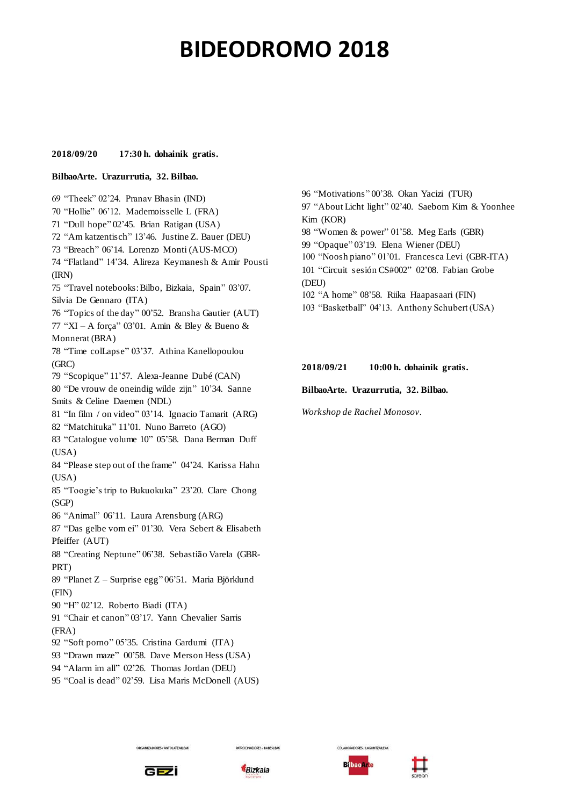### **2018/09/20 17:30 h. dohainik gratis.**

#### **BilbaoArte. Urazurrutia, 32. Bilbao.**

69 "Theek" 02'24. Pranav Bhasin (IND) 70 "Hollie" 06'12. Mademoisselle L (FRA) "Dull hope" 02'45. Brian Ratigan (USA) "Am katzentisch" 13'46. Justine Z. Bauer (DEU) "Breach" 06'14. Lorenzo Monti (AUS-MCO) "Flatland" 14'34. Alireza Keymanesh & Amir Pousti (IRN) "Travel notebooks: Bilbo, Bizkaia, Spain" 03'07. Silvia De Gennaro (ITA) "Topics of the day" 00'52. Bransha Gautier (AUT) "XI – A força" 03'01. Amin & Bley & Bueno & Monnerat (BRA) "Time colLapse" 03'37. Athina Kanellopoulou (GRC) "Scopique" 11'57. Alexa-Jeanne Dubé (CAN) "De vrouw de oneindig wilde zijn" 10'34. Sanne Smits & Celine Daemen (NDL) "In film / on video" 03'14. Ignacio Tamarit (ARG) "Matchituka" 11'01. Nuno Barreto (AGO) "Catalogue volume 10" 05'58. Dana Berman Duff (USA) "Please step out of the frame" 04'24. Karissa Hahn (USA) "Toogie's trip to Bukuokuka" 23'20. Clare Chong (SGP) "Animal" 06'11. Laura Arensburg (ARG) "Das gelbe vom ei" 01'30. Vera Sebert & Elisabeth Pfeiffer (AUT) "Creating Neptune" 06'38. Sebastião Varela (GBR-PRT) 89 "Planet Z – Surprise egg" 06'51. Maria Björklund (FIN) "H" 02'12. Roberto Biadi (ITA) "Chair et canon" 03'17. Yann Chevalier Sarris (FRA) "Soft porno" 05'35. Cristina Gardumi (ITA) "Drawn maze" 00'58. Dave Merson Hess (USA) "Alarm im all" 02'26. Thomas Jordan (DEU)

95 "Coal is dead" 02'59. Lisa Maris McDonell (AUS)

96 "Motivations" 00'38. Okan Yacizi (TUR) 97 "About Licht light" 02'40. Saebom Kim & Yoonhee Kim (KOR) 98 "Women & power" 01'58. Meg Earls (GBR) 99 "Opaque" 03'19. Elena Wiener (DEU) 100 "Noosh piano" 01'01. Francesca Levi (GBR-ITA) 101 "Circuit sesión CS#002" 02'08. Fabian Grobe (DEU) 102 "A home" 08'58. Riika Haapasaari (FIN) 103 "Basketball" 04'13. Anthony Schubert (USA)

#### **2018/09/21 10:00 h. dohainik gratis.**

#### **BilbaoArte. Urazurrutia, 32. Bilbao.**

*Workshop de Rachel Monosov.*



ORGANIZADORES / ANTOLATZAILEA



**PATROCINADORES / BABESLEA** 



**COLABORADORES / LAGUNTZAILEA**